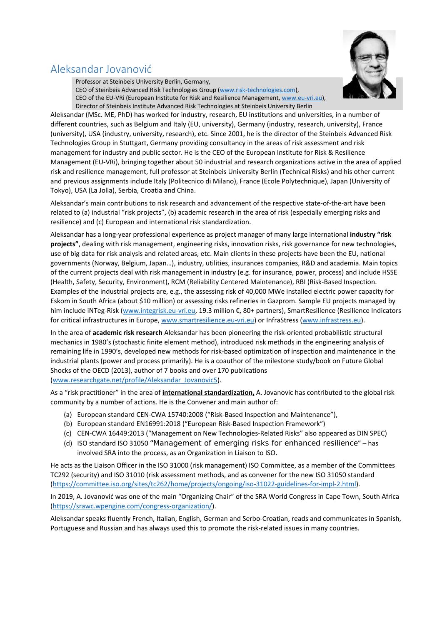# Aleksandar Jovanović



Professor at Steinbeis University Berlin, Germany, CEO of Steinbeis Advanced Risk Technologies Group (www.risk‐technologies.com), CEO of the EU‐VRi (European Institute for Risk and Resilience Management, www.eu‐vri.eu), Director of Steinbeis Institute Advanced Risk Technologies at Steinbeis University Berlin

Aleksandar (MSc. ME, PhD) has worked for industry, research, EU institutions and universities, in a number of different countries, such as Belgium and Italy (EU, university), Germany (industry, research, university), France (university), USA (industry, university, research), etc. Since 2001, he is the director of the Steinbeis Advanced Risk Technologies Group in Stuttgart, Germany providing consultancy in the areas of risk assessment and risk management for industry and public sector. He is the CEO of the European Institute for Risk & Resilience Management (EU‐VRi), bringing together about 50 industrial and research organizations active in the area of applied risk and resilience management, full professor at Steinbeis University Berlin (Technical Risks) and his other current and previous assignments include Italy (Politecnico di Milano), France (Ecole Polytechnique), Japan (University of Tokyo), USA (La Jolla), Serbia, Croatia and China.

Aleksandar's main contributions to risk research and advancement of the respective state‐of‐the‐art have been related to (a) industrial "risk projects", (b) academic research in the area of risk (especially emerging risks and resilience) and (c) European and international risk standardization.

Aleksandar has a long‐year professional experience as project manager of many large international **industry "risk projects"**, dealing with risk management, engineering risks, innovation risks, risk governance for new technologies, use of big data for risk analysis and related areas, etc. Main clients in these projects have been the EU, national governments (Norway, Belgium, Japan…), industry, utilities, insurances companies, R&D and academia. Main topics of the current projects deal with risk management in industry (e.g. for insurance, power, process) and include HSSE (Health, Safety, Security, Environment), RCM (Reliability Centered Maintenance), RBI (Risk‐Based Inspection. Examples of the industrial projects are, e.g., the assessing risk of 40,000 MWe installed electric power capacity for Eskom in South Africa (about \$10 million) or assessing risks refineries in Gazprom. Sample EU projects managed by him include iNTeg‐Risk (www.integrisk.eu‐vri.eu, 19.3 million €, 80+ partners), SmartResilience (Resilience Indicators for critical infrastructures in Europe, www.smartresilience.eu‐vri.eu) or InfraStress (www.infrastress.eu).

In the area of **academic risk research** Aleksandar has been pioneering the risk‐oriented probabilistic structural mechanics in 1980's (stochastic finite element method), introduced risk methods in the engineering analysis of remaining life in 1990's, developed new methods for risk‐based optimization of inspection and maintenance in the industrial plants (power and process primarily). He is a coauthor of the milestone study/book on Future Global Shocks of the OECD (2013), author of 7 books and over 170 publications (www.researchgate.net/profile/Aleksandar\_Jovanovic5).

As a "risk practitioner" in the area of **international standardization,** A. Jovanovic has contributed to the global risk community by a number of actions. He is the Convener and main author of:

- (a) European standard CEN‐CWA 15740:2008 ("Risk‐Based Inspection and Maintenance"),
- (b) European standard EN16991:2018 ("European Risk‐Based Inspection Framework")
- (c) CEN‐CWA 16449:2013 ("Management on New Technologies‐Related Risks" also appeared as DIN SPEC)
- (d) ISO standard ISO 31050 "Management of emerging risks for enhanced resilience" has involved SRA into the process, as an Organization in Liaison to ISO.

He acts as the Liaison Officer in the ISO 31000 (risk management) ISO Committee, as a member of the Committees TC292 (security) and ISO 31010 (risk assessment methods, and as convener for the new ISO 31050 standard (https://committee.iso.org/sites/tc262/home/projects/ongoing/iso‐31022‐guidelines‐for‐impl‐2.html).

In 2019, A. Jovanović was one of the main "Organizing Chair" of the SRA World Congress in Cape Town, South Africa (https://srawc.wpengine.com/congress‐organization/).

Aleksandar speaks fluently French, Italian, English, German and Serbo‐Croatian, reads and communicates in Spanish, Portuguese and Russian and has always used this to promote the risk‐related issues in many countries.